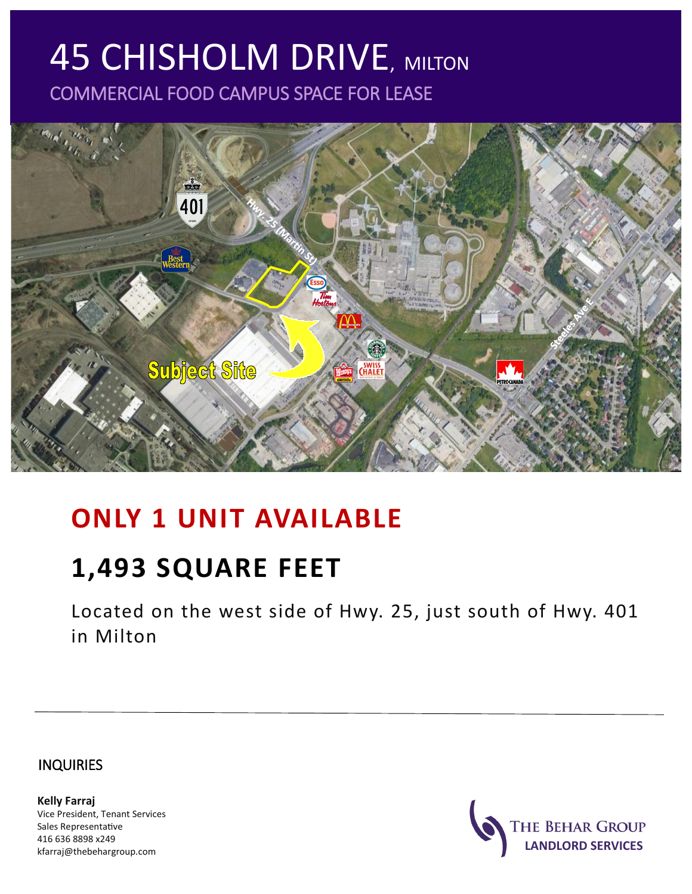# **45 CHISHOLM DRIVE, MILTON** COMMERCIAL FOOD CAMPUS SPACE FOR LEASE



## **ONLY 1 UNIT AVAILABLE**

## **1,493 SQUARE FEET**

Located on the west side of Hwy. 25, just south of Hwy. 401 in Milton

INQUIRIES

**Kelly Farraj** Vice President, Tenant Services Sales Representative 416 636 8898 x249 kfarraj@thebehargroup.com

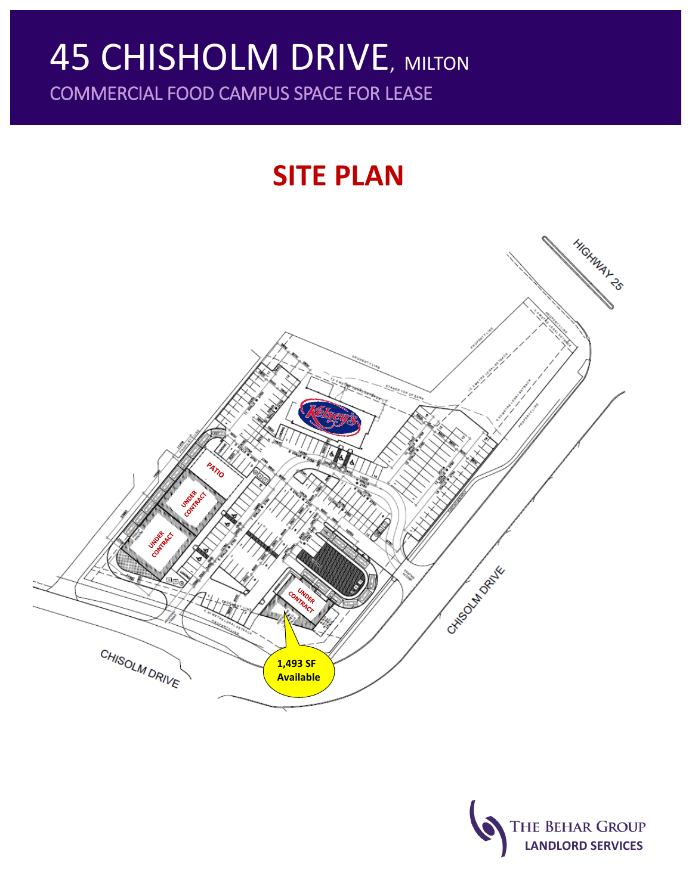## **45 CHISHOLM DRIVE, MILTON** COMMERCIAL FOOD CAMPUS SPACE FOR LEASE

# **SITE PLAN**



THE BEHAR GROUP **LANDLORD SERVICES**